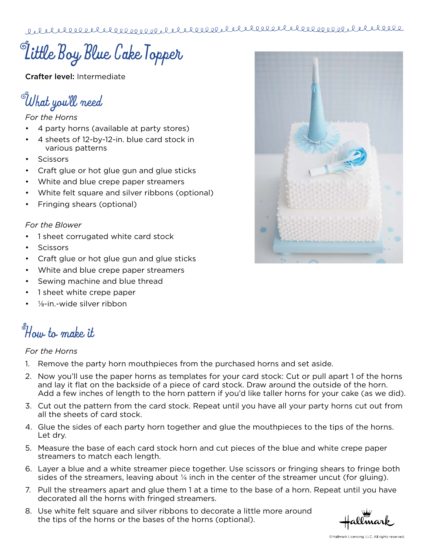**Little Boy Blue Cake Topper**

Crafter level: Intermediate

**What you'll need**

### *For the Horns*

- 4 party horns (available at party stores)
- 4 sheets of 12-by-12-in. blue card stock in various patterns
- **Scissors**
- Craft glue or hot glue gun and glue sticks
- White and blue crepe paper streamers
- White felt square and silver ribbons (optional)
- Fringing shears (optional)

### *For the Blower*

- 1 sheet corrugated white card stock
- **Scissors**
- Craft glue or hot glue gun and glue sticks
- White and blue crepe paper streamers
- Sewing machine and blue thread
- 1 sheet white crepe paper
- $\frac{1}{2}$ -in.-wide silver ribbon

# **How to make it**

## *For the Horns*

- 1. Remove the party horn mouthpieces from the purchased horns and set aside.
- 2. Now you'll use the paper horns as templates for your card stock: Cut or pull apart 1 of the horns and lay it flat on the backside of a piece of card stock. Draw around the outside of the horn. Add a few inches of length to the horn pattern if you'd like taller horns for your cake (as we did).
- 3. Cut out the pattern from the card stock. Repeat until you have all your party horns cut out from all the sheets of card stock.
- 4. Glue the sides of each party horn together and glue the mouthpieces to the tips of the horns. Let dry.
- 5. Measure the base of each card stock horn and cut pieces of the blue and white crepe paper streamers to match each length.
- 6. Layer a blue and a white streamer piece together. Use scissors or fringing shears to fringe both sides of the streamers, leaving about  $\frac{1}{4}$  inch in the center of the streamer uncut (for gluing).
- 7. Pull the streamers apart and glue them 1 at a time to the base of a horn. Repeat until you have decorated all the horns with fringed streamers.
- 8. Use white felt square and silver ribbons to decorate a little more around the tips of the horns or the bases of the horns (optional).

allmark